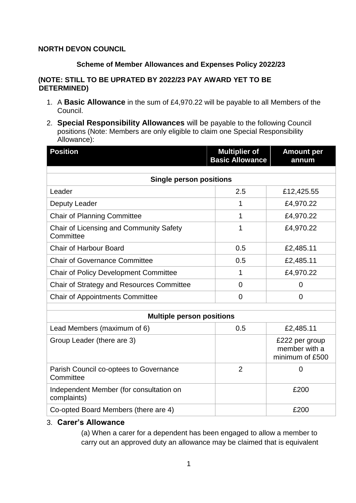# **NORTH DEVON COUNCIL**

## **Scheme of Member Allowances and Expenses Policy 2022/23**

## **(NOTE: STILL TO BE UPRATED BY 2022/23 PAY AWARD YET TO BE DETERMINED)**

- 1. A **Basic Allowance** in the sum of £4,970.22 will be payable to all Members of the Council.
- 2. **Special Responsibility Allowances** will be payable to the following Council positions (Note: Members are only eligible to claim one Special Responsibility Allowance):

| <b>Position</b>                                        | <b>Multiplier of</b><br><b>Basic Allowance</b> | <b>Amount per</b><br>annum                         |
|--------------------------------------------------------|------------------------------------------------|----------------------------------------------------|
|                                                        |                                                |                                                    |
| <b>Single person positions</b>                         |                                                |                                                    |
| Leader                                                 | 2.5                                            | £12,425.55                                         |
| Deputy Leader                                          | 1                                              | £4,970.22                                          |
| <b>Chair of Planning Committee</b>                     | 1                                              | £4,970.22                                          |
| Chair of Licensing and Community Safety<br>Committee   | 1                                              | £4,970.22                                          |
| <b>Chair of Harbour Board</b>                          | 0.5                                            | £2,485.11                                          |
| <b>Chair of Governance Committee</b>                   | 0.5                                            | £2,485.11                                          |
| <b>Chair of Policy Development Committee</b>           | 1                                              | £4,970.22                                          |
| Chair of Strategy and Resources Committee              | 0                                              | 0                                                  |
| <b>Chair of Appointments Committee</b>                 | 0                                              | $\overline{0}$                                     |
|                                                        |                                                |                                                    |
| <b>Multiple person positions</b>                       |                                                |                                                    |
| Lead Members (maximum of 6)                            | 0.5                                            | £2,485.11                                          |
| Group Leader (there are 3)                             |                                                | £222 per group<br>member with a<br>minimum of £500 |
| Parish Council co-optees to Governance<br>Committee    | $\overline{2}$                                 | $\overline{0}$                                     |
| Independent Member (for consultation on<br>complaints) |                                                | £200                                               |
| Co-opted Board Members (there are 4)                   |                                                | £200                                               |

# 3. **Carer's Allowance**

(a) When a carer for a dependent has been engaged to allow a member to carry out an approved duty an allowance may be claimed that is equivalent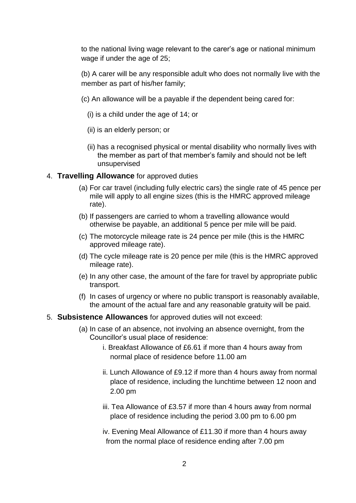to the national living wage relevant to the carer's age or national minimum wage if under the age of 25;

(b) A carer will be any responsible adult who does not normally live with the member as part of his/her family;

- (c) An allowance will be a payable if the dependent being cared for:
	- (i) is a child under the age of 14; or
	- (ii) is an elderly person; or
	- (ii) has a recognised physical or mental disability who normally lives with the member as part of that member's family and should not be left unsupervised

#### 4. **Travelling Allowance** for approved duties

- (a) For car travel (including fully electric cars) the single rate of 45 pence per mile will apply to all engine sizes (this is the HMRC approved mileage rate).
- (b) If passengers are carried to whom a travelling allowance would otherwise be payable, an additional 5 pence per mile will be paid.
- (c) The motorcycle mileage rate is 24 pence per mile (this is the HMRC approved mileage rate).
- (d) The cycle mileage rate is 20 pence per mile (this is the HMRC approved mileage rate).
- (e) In any other case, the amount of the fare for travel by appropriate public transport.
- (f) In cases of urgency or where no public transport is reasonably available, the amount of the actual fare and any reasonable gratuity will be paid.

#### 5. **Subsistence Allowances** for approved duties will not exceed:

- (a) In case of an absence, not involving an absence overnight, from the Councillor's usual place of residence:
	- i. Breakfast Allowance of £6.61 if more than 4 hours away from normal place of residence before 11.00 am
	- ii. Lunch Allowance of £9.12 if more than 4 hours away from normal place of residence, including the lunchtime between 12 noon and 2.00 pm
	- iii. Tea Allowance of £3.57 if more than 4 hours away from normal place of residence including the period 3.00 pm to 6.00 pm
	- iv. Evening Meal Allowance of £11.30 if more than 4 hours away from the normal place of residence ending after 7.00 pm